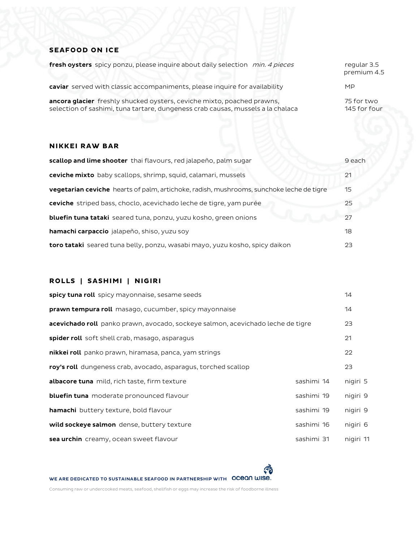## **SEAFOOD ON ICE**

| fresh oysters spicy ponzu, please inquire about daily selection min. 4 pieces                                                                             | regular 3.5<br>premium 4.5 |
|-----------------------------------------------------------------------------------------------------------------------------------------------------------|----------------------------|
| caviar served with classic accompaniments, please inquire for availability                                                                                | <b>MP</b>                  |
| ancora glacier freshly shucked oysters, ceviche mixto, poached prawns,<br>selection of sashimi, tuna tartare, dungeness crab causas, mussels a la chalaca | 75 for two<br>145 for four |

#### **NIKKEI RAW BAR**

| scallop and lime shooter thai flavours, red jalapeño, palm sugar                                | 9 each |
|-------------------------------------------------------------------------------------------------|--------|
| ceviche mixto baby scallops, shrimp, squid, calamari, mussels                                   | 21     |
| <b>vegetarian ceviche</b> hearts of palm, artichoke, radish, mushrooms, sunchoke leche de tigre | 15     |
| ceviche striped bass, choclo, acevichado leche de tigre, yam purée                              | 25     |
| <b>bluefin tuna tataki</b> seared tuna, ponzu, yuzu kosho, green onions                         | 27     |
| <b>hamachi carpaccio</b> jalapeño, shiso, yuzu soy                                              | 18     |
| <b>toro tataki</b> seared tuna belly, ponzu, wasabi mayo, yuzu kosho, spicy daikon              | 23     |

# **ROLLS | SASHIMI | NIGIRI**

| spicy tuna roll spicy mayonnaise, sesame seeds                                  |            | 14        |
|---------------------------------------------------------------------------------|------------|-----------|
| prawn tempura roll masago, cucumber, spicy mayonnaise                           |            | 14        |
| acevichado roll panko prawn, avocado, sockeye salmon, acevichado leche de tigre |            | 23        |
| <b>spider roll</b> soft shell crab, masago, asparagus                           |            | 21        |
| nikkei roll panko prawn, hiramasa, panca, yam strings                           |            | 22        |
| roy's roll dungeness crab, avocado, asparagus, torched scallop                  |            | 23        |
| albacore tuna mild, rich taste, firm texture                                    | sashimi 14 | nigiri 5  |
| <b>bluefin tuna</b> moderate pronounced flavour                                 | sashimi 19 | nigiri 9  |
| hamachi buttery texture, bold flavour                                           | sashimi 19 | nigiri 9  |
| wild sockeye salmon dense, buttery texture                                      | sashimi 16 | nigiri 6  |
| sea urchin creamy, ocean sweet flavour                                          | sashimi 31 | nigiri 11 |

WE ARE DEDICATED TO SUSTAINABLE SEAFOOD IN PARTNERSHIP WITH OCEON WISE.

Consuming raw or undercooked meats, seafood, shellfish or eggs may increase the risk of foodborne illness